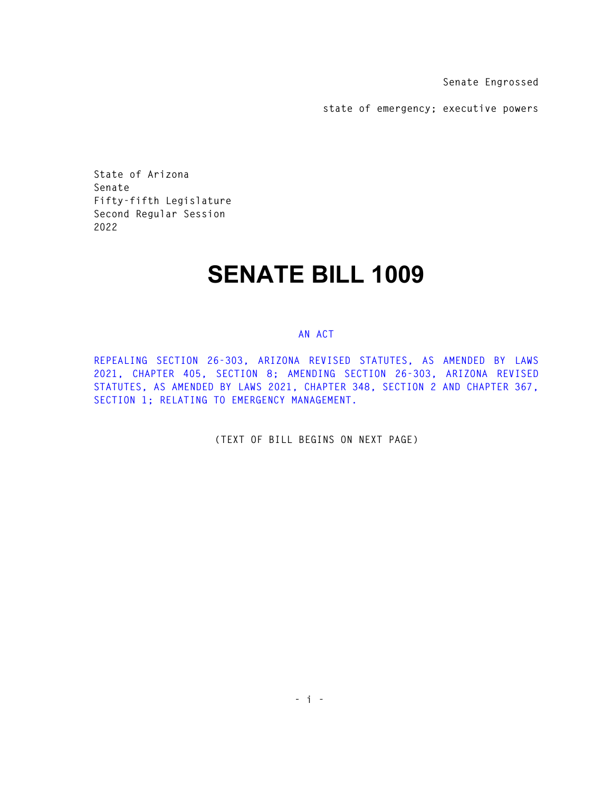**Senate Engrossed** 

**state of emergency; executive powers** 

**State of Arizona Senate Fifty-fifth Legislature Second Regular Session 2022** 

## **SENATE BILL 1009**

## **AN ACT**

**REPEALING SECTION 26-303, ARIZONA REVISED STATUTES, AS AMENDED BY LAWS 2021, CHAPTER 405, SECTION 8; AMENDING SECTION 26-303, ARIZONA REVISED STATUTES, AS AMENDED BY LAWS 2021, CHAPTER 348, SECTION 2 AND CHAPTER 367, SECTION 1; RELATING TO EMERGENCY MANAGEMENT.** 

**(TEXT OF BILL BEGINS ON NEXT PAGE)**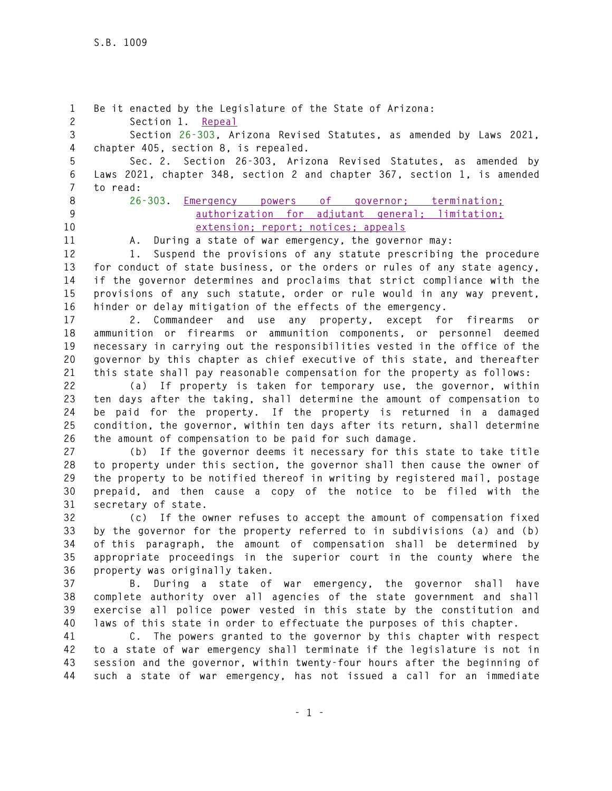**1 Be it enacted by the Legislature of the State of Arizona: 2 Section 1. Repeal 3 Section 26-303, Arizona Revised Statutes, as amended by Laws 2021, 4 chapter 405, section 8, is repealed. 5 Sec. 2. Section 26-303, Arizona Revised Statutes, as amended by 6 Laws 2021, chapter 348, section 2 and chapter 367, section 1, is amended 7 to read: 8 26-303. Emergency powers of governor; termination; 9 authorization for adjutant general; limitation; 10 extension; report; notices; appeals 11 A. During a state of war emergency, the governor may: 12 1. Suspend the provisions of any statute prescribing the procedure 13 for conduct of state business, or the orders or rules of any state agency, 14 if the governor determines and proclaims that strict compliance with the 15 provisions of any such statute, order or rule would in any way prevent, 16 hinder or delay mitigation of the effects of the emergency. 17 2. Commandeer and use any property, except for firearms or 18 ammunition or firearms or ammunition components, or personnel deemed 19 necessary in carrying out the responsibilities vested in the office of the 20 governor by this chapter as chief executive of this state, and thereafter 21 this state shall pay reasonable compensation for the property as follows: 22 (a) If property is taken for temporary use, the governor, within 23 ten days after the taking, shall determine the amount of compensation to 24 be paid for the property. If the property is returned in a damaged 25 condition, the governor, within ten days after its return, shall determine 26 the amount of compensation to be paid for such damage. 27 (b) If the governor deems it necessary for this state to take title 28 to property under this section, the governor shall then cause the owner of 29 the property to be notified thereof in writing by registered mail, postage 30 prepaid, and then cause a copy of the notice to be filed with the 31 secretary of state. 32 (c) If the owner refuses to accept the amount of compensation fixed 33 by the governor for the property referred to in subdivisions (a) and (b) 34 of this paragraph, the amount of compensation shall be determined by 35 appropriate proceedings in the superior court in the county where the 36 property was originally taken. 37 B. During a state of war emergency, the governor shall have 38 complete authority over all agencies of the state government and shall 39 exercise all police power vested in this state by the constitution and 40 laws of this state in order to effectuate the purposes of this chapter. 41 C. The powers granted to the governor by this chapter with respect 42 to a state of war emergency shall terminate if the legislature is not in** 

**43 session and the governor, within twenty-four hours after the beginning of 44 such a state of war emergency, has not issued a call for an immediate**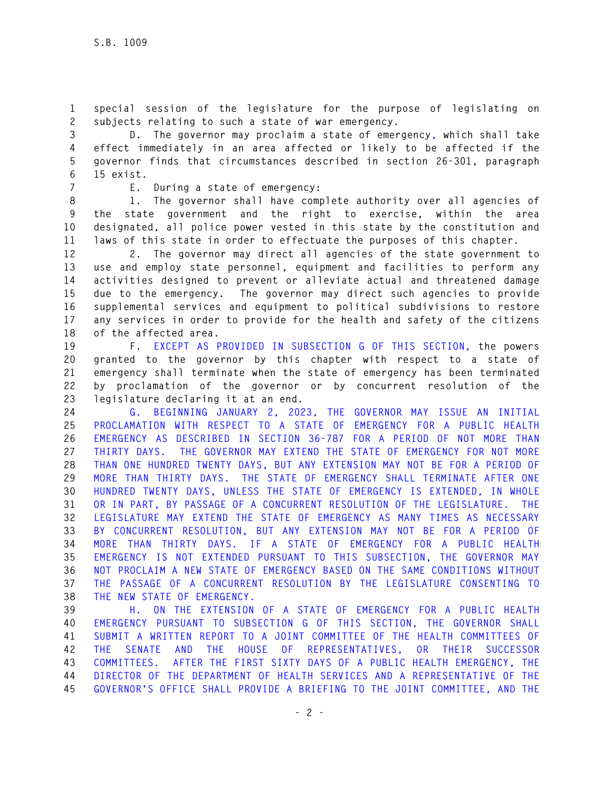**1 special session of the legislature for the purpose of legislating on 2 subjects relating to such a state of war emergency.** 

**3 D. The governor may proclaim a state of emergency, which shall take 4 effect immediately in an area affected or likely to be affected if the 5 governor finds that circumstances described in section 26-301, paragraph 6 15 exist.** 

**7 E. During a state of emergency:** 

**8 1. The governor shall have complete authority over all agencies of 9 the state government and the right to exercise, within the area 10 designated, all police power vested in this state by the constitution and 11 laws of this state in order to effectuate the purposes of this chapter.** 

**12 2. The governor may direct all agencies of the state government to 13 use and employ state personnel, equipment and facilities to perform any 14 activities designed to prevent or alleviate actual and threatened damage 15 due to the emergency. The governor may direct such agencies to provide 16 supplemental services and equipment to political subdivisions to restore 17 any services in order to provide for the health and safety of the citizens 18 of the affected area.** 

**19 F. EXCEPT AS PROVIDED IN SUBSECTION G OF THIS SECTION, the powers 20 granted to the governor by this chapter with respect to a state of 21 emergency shall terminate when the state of emergency has been terminated 22 by proclamation of the governor or by concurrent resolution of the 23 legislature declaring it at an end.** 

**24 G. BEGINNING JANUARY 2, 2023, THE GOVERNOR MAY ISSUE AN INITIAL 25 PROCLAMATION WITH RESPECT TO A STATE OF EMERGENCY FOR A PUBLIC HEALTH 26 EMERGENCY AS DESCRIBED IN SECTION 36-787 FOR A PERIOD OF NOT MORE THAN 27 THIRTY DAYS. THE GOVERNOR MAY EXTEND THE STATE OF EMERGENCY FOR NOT MORE 28 THAN ONE HUNDRED TWENTY DAYS, BUT ANY EXTENSION MAY NOT BE FOR A PERIOD OF 29 MORE THAN THIRTY DAYS. THE STATE OF EMERGENCY SHALL TERMINATE AFTER ONE 30 HUNDRED TWENTY DAYS, UNLESS THE STATE OF EMERGENCY IS EXTENDED, IN WHOLE 31 OR IN PART, BY PASSAGE OF A CONCURRENT RESOLUTION OF THE LEGISLATURE. THE 32 LEGISLATURE MAY EXTEND THE STATE OF EMERGENCY AS MANY TIMES AS NECESSARY 33 BY CONCURRENT RESOLUTION, BUT ANY EXTENSION MAY NOT BE FOR A PERIOD OF 34 MORE THAN THIRTY DAYS. IF A STATE OF EMERGENCY FOR A PUBLIC HEALTH 35 EMERGENCY IS NOT EXTENDED PURSUANT TO THIS SUBSECTION, THE GOVERNOR MAY 36 NOT PROCLAIM A NEW STATE OF EMERGENCY BASED ON THE SAME CONDITIONS WITHOUT 37 THE PASSAGE OF A CONCURRENT RESOLUTION BY THE LEGISLATURE CONSENTING TO 38 THE NEW STATE OF EMERGENCY.** 

**39 H. ON THE EXTENSION OF A STATE OF EMERGENCY FOR A PUBLIC HEALTH 40 EMERGENCY PURSUANT TO SUBSECTION G OF THIS SECTION, THE GOVERNOR SHALL 41 SUBMIT A WRITTEN REPORT TO A JOINT COMMITTEE OF THE HEALTH COMMITTEES OF 42 THE SENATE AND THE HOUSE OF REPRESENTATIVES, OR THEIR SUCCESSOR 43 COMMITTEES. AFTER THE FIRST SIXTY DAYS OF A PUBLIC HEALTH EMERGENCY, THE 44 DIRECTOR OF THE DEPARTMENT OF HEALTH SERVICES AND A REPRESENTATIVE OF THE 45 GOVERNOR'S OFFICE SHALL PROVIDE A BRIEFING TO THE JOINT COMMITTEE, AND THE**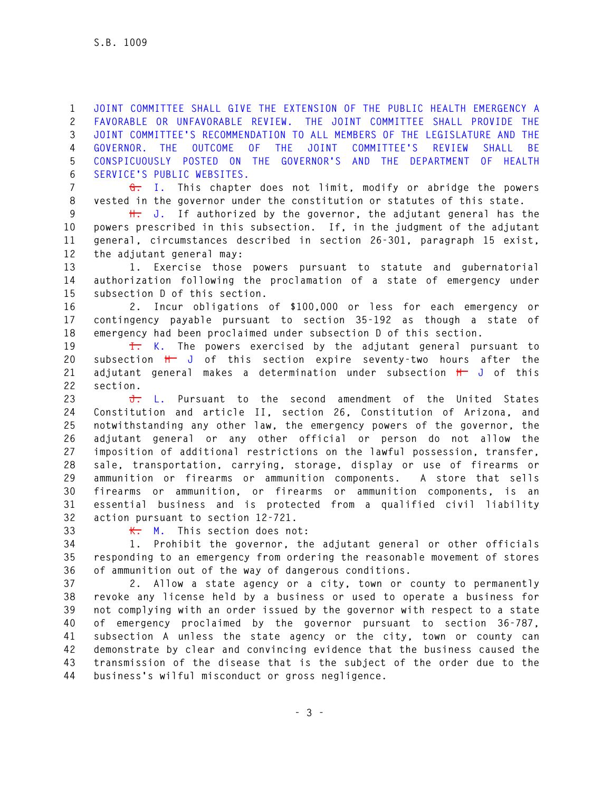**1 JOINT COMMITTEE SHALL GIVE THE EXTENSION OF THE PUBLIC HEALTH EMERGENCY A 2 FAVORABLE OR UNFAVORABLE REVIEW. THE JOINT COMMITTEE SHALL PROVIDE THE 3 JOINT COMMITTEE'S RECOMMENDATION TO ALL MEMBERS OF THE LEGISLATURE AND THE 4 GOVERNOR. THE OUTCOME OF THE JOINT COMMITTEE'S REVIEW SHALL BE 5 CONSPICUOUSLY POSTED ON THE GOVERNOR'S AND THE DEPARTMENT OF HEALTH 6 SERVICE'S PUBLIC WEBSITES.** 

**7 G. I. This chapter does not limit, modify or abridge the powers 8 vested in the governor under the constitution or statutes of this state.** 

**9 H. J. If authorized by the governor, the adjutant general has the 10 powers prescribed in this subsection. If, in the judgment of the adjutant 11 general, circumstances described in section 26-301, paragraph 15 exist, 12 the adjutant general may:** 

**13 1. Exercise those powers pursuant to statute and gubernatorial 14 authorization following the proclamation of a state of emergency under 15 subsection D of this section.** 

**16 2. Incur obligations of \$100,000 or less for each emergency or 17 contingency payable pursuant to section 35-192 as though a state of 18 emergency had been proclaimed under subsection D of this section.** 

**19 I. K. The powers exercised by the adjutant general pursuant to 20 subsection H J of this section expire seventy-two hours after the 21 adjutant general makes a determination under subsection H J of this 22 section.** 

**23 J. L. Pursuant to the second amendment of the United States 24 Constitution and article II, section 26, Constitution of Arizona, and 25 notwithstanding any other law, the emergency powers of the governor, the 26 adjutant general or any other official or person do not allow the 27 imposition of additional restrictions on the lawful possession, transfer, 28 sale, transportation, carrying, storage, display or use of firearms or 29 ammunition or firearms or ammunition components. A store that sells 30 firearms or ammunition, or firearms or ammunition components, is an 31 essential business and is protected from a qualified civil liability 32 action pursuant to section 12-721.** 

**33 K. M. This section does not:** 

**34 1. Prohibit the governor, the adjutant general or other officials 35 responding to an emergency from ordering the reasonable movement of stores 36 of ammunition out of the way of dangerous conditions.** 

**37 2. Allow a state agency or a city, town or county to permanently 38 revoke any license held by a business or used to operate a business for 39 not complying with an order issued by the governor with respect to a state 40 of emergency proclaimed by the governor pursuant to section 36-787, 41 subsection A unless the state agency or the city, town or county can 42 demonstrate by clear and convincing evidence that the business caused the 43 transmission of the disease that is the subject of the order due to the 44 business's wilful misconduct or gross negligence.**